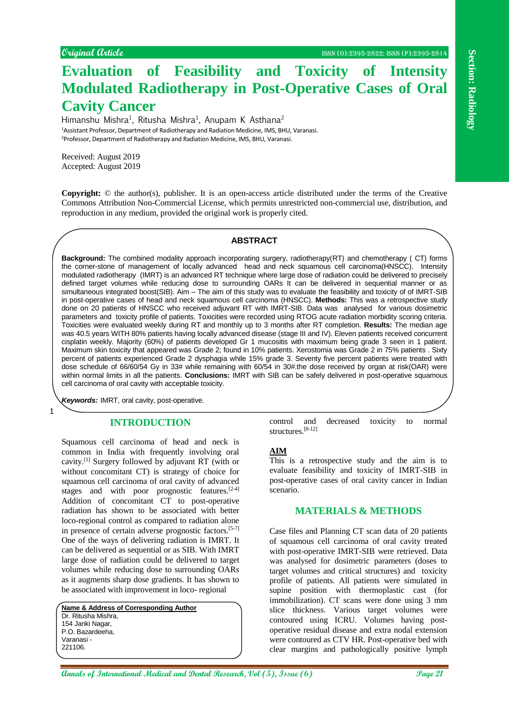# **Evaluation of Feasibility and Toxicity of Intensity Modulated Radiotherapy in Post-Operative Cases of Oral Cavity Cancer**

Himanshu Mishra<sup>1</sup>, Ritusha Mishra<sup>1</sup>, Anupam K Asthana<sup>2</sup> <sup>1</sup>Assistant Professor, Department of Radiotherapy and Radiation Medicine, IMS, BHU, Varanasi. <sup>2</sup>Professor, Department of Radiotherapy and Radiation Medicine, IMS, BHU, Varanasi.

Received: August 2019 Accepted: August 2019

**Copyright:** © the author(s), publisher. It is an open-access article distributed under the terms of the Creative Commons Attribution Non-Commercial License, which permits unrestricted non-commercial use, distribution, and reproduction in any medium, provided the original work is properly cited.

# **ABSTRACT**

**Example 12 And And And And And And And And And And And And And And And And And And And And And And And And And And And And And And And And A C C C Background:** The combined modality approach incorporating surgery, radiotherapy(RT) and chemotherapy ( CT) forms the corner-stone of management of locally advanced head and neck squamous cell carcinoma(HNSCC). Intensity modulated radiotherapy (IMRT) is an advanced RT technique where large dose of radiation could be delivered to precisely defined target volumes while reducing dose to surrounding OARs It can be delivered in sequential manner or as simultaneous integrated boost(SIB). Aim – The aim of this study was to evaluate the feasibility and toxicity of of IMRT-SIB in post-operative cases of head and neck squamous cell carcinoma (HNSCC). **Methods:** This was a retrospective study done on 20 patients of HNSCC who received adjuvant RT with IMRT-SIB. Data was analysed for various dosimetric parameters and toxicity profile of patients. Toxicities were recorded using RTOG acute radiation morbidity scoring criteria. Toxicities were evaluated weekly during RT and monthly up to 3 months after RT completion. **Results:** The median age was 40.5 years WITH 80% patients having locally advanced disease (stage III and IV). Eleven patients received concurrent cisplatin weekly. Majority (60%) of patients developed Gr 1 mucositis with maximum being grade 3 seen in 1 patient. Maximum skin toxicity that appeared was Grade 2; found in 10% patients. Xerostomia was Grade 2 in 75% patients . Sixty percent of patients experienced Grade 2 dysphagia while 15% grade 3. Seventy five percent patients were treated with dose schedule of 66/60/54 Gy in 33# while remaining with 60/54 in 30#.the dose received by organ at risk(OAR) were within normal limits in all the patients. **Conclusions:** IMRT with SIB can be safely delivered in post-operative squamous cell carcinoma of oral cavity with acceptable toxicity.

*Keywords:* IMRT, oral cavity, post-operative.

1

# **INTRODUCTION**

Squamous cell carcinoma of head and neck is common in India with frequently involving oral cavity.[1] Surgery followed by adjuvant RT (with or without concomitant CT) is strategy of choice for squamous cell carcinoma of oral cavity of advanced stages and with poor prognostic features.<sup>[2-4]</sup> Addition of concomitant CT to post-operative radiation has shown to be associated with better loco-regional control as compared to radiation alone in presence of certain adverse prognostic factors.[5-7] One of the ways of delivering radiation is IMRT. It can be delivered as sequential or as SIB. With IMRT large dose of radiation could be delivered to target volumes while reducing dose to surrounding OARs as it augments sharp dose gradients. It has shown to be associated with improvement in loco- regional

| Name & Address of Corresponding Author |
|----------------------------------------|
| Dr. Ritusha Mishra.                    |
| 154 Janki Nagar,                       |
| P.O. Bazardeeha.                       |
| Varanasi -                             |
| 221106.                                |
|                                        |

control and decreased toxicity to normal structures.[8-12]

## **AIM**

This is a retrospective study and the aim is to evaluate feasibility and toxicity of IMRT-SIB in post-operative cases of oral cavity cancer in Indian scenario.

# **MATERIALS & METHODS**

Case files and Planning CT scan data of 20 patients of squamous cell carcinoma of oral cavity treated with post-operative IMRT-SIB were retrieved. Data was analysed for dosimetric parameters (doses to target volumes and critical structures) and toxicity profile of patients. All patients were simulated in supine position with thermoplastic cast (for immobilization). CT scans were done using 3 mm slice thickness. Various target volumes were contoured using ICRU. Volumes having postoperative residual disease and extra nodal extension were contoured as CTV HR. Post-operative bed with clear margins and pathologically positive lymph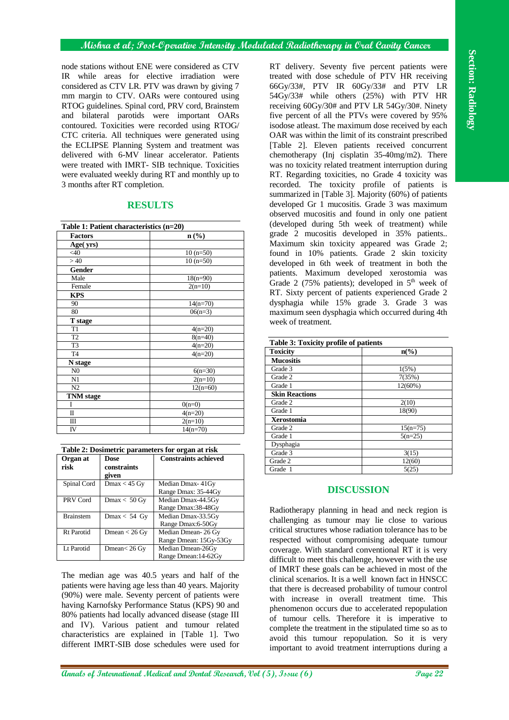## **Mishra et al; Post-Operative Intensity Modulated Radiotherapy in Oral Cavity Cancer**

node stations without ENE were considered as CTV IR while areas for elective irradiation were considered as CTV LR. PTV was drawn by giving 7 mm margin to CTV. OARs were contoured using RTOG guidelines. Spinal cord, PRV cord, Brainstem and bilateral parotids were important OARs contoured. Toxicities were recorded using RTOG/ CTC criteria. All techniques were generated using the ECLIPSE Planning System and treatment was delivered with 6-MV linear accelerator. Patients were treated with IMRT- SIB technique. Toxicities were evaluated weekly during RT and monthly up to 3 months after RT completion.

| Table 1: Patient characteristics (n=20) |                  |  |
|-----------------------------------------|------------------|--|
| <b>Factors</b>                          | $\mathbf{n}(\%)$ |  |
| Age(yrs)                                |                  |  |
| <40                                     | $10(n=50)$       |  |
| >40                                     | $10(n=50)$       |  |
| <b>Gender</b>                           |                  |  |
| Male                                    | $18(n=90)$       |  |
| Female                                  | $2(n=10)$        |  |
| <b>KPS</b>                              |                  |  |
| 90                                      | $14(n=70)$       |  |
| 80                                      | $06(n=3)$        |  |
| T stage                                 |                  |  |
| T <sub>1</sub>                          | $4(n=20)$        |  |
| $\overline{12}$                         | $8(n=40)$        |  |
| T3                                      | $4(n=20)$        |  |
| T <sub>4</sub>                          | $4(n=20)$        |  |
| N stage                                 |                  |  |
| N <sub>0</sub>                          | $6(n=30)$        |  |
| N1                                      | $2(n=10)$        |  |
| N2                                      | $12(n=60)$       |  |
| <b>TNM</b> stage                        |                  |  |
| I                                       | $0(n=0)$         |  |
| $\mathbf I$                             | $4(n=20)$        |  |
| Ш                                       | $2(n=10)$        |  |
| IV                                      | $14(n=70)$       |  |

# **RESULTS**

| Table 2: Dosimetric parameters for organ at risk |                         |                             |  |
|--------------------------------------------------|-------------------------|-----------------------------|--|
| Organ at                                         | Dose                    | <b>Constraints achieved</b> |  |
| risk                                             | constraints             |                             |  |
|                                                  | given                   |                             |  |
| Spinal Cord                                      | $Dmax < 45$ Gy          | Median Dmax-41Gy            |  |
|                                                  |                         | Range Dmax: 35-44Gy         |  |
| PRV Cord                                         | $Dmax < 50$ Gy          | Median Dmax-44.5Gy          |  |
|                                                  |                         | Range Dmax:38-48Gy          |  |
| <b>Brainstem</b>                                 | $Dmax < 54$ Gy          | Median Dmax-33.5Gy          |  |
|                                                  |                         | Range Dmax:6-50Gy           |  |
| Rt Parotid                                       | Dmean $< 26 \text{ Gy}$ | Median Dmean-26 Gy          |  |
|                                                  |                         | Range Dmean: 15Gy-53Gy      |  |
| Lt Parotid                                       | Dmean $< 26 \text{ Gy}$ | Median Dmean-26Gy           |  |
|                                                  |                         | Range Dmean:14-62Gy         |  |

The median age was 40.5 years and half of the patients were having age less than 40 years. Majority (90%) were male. Seventy percent of patients were having Karnofsky Performance Status (KPS) 90 and 80% patients had locally advanced disease (stage III and IV). Various patient and tumour related characteristics are explained in [Table 1]. Two different IMRT-SIB dose schedules were used for

**And Solution** (We are considered as CIV and Solution (CV) and COV and COV and COV and COV and COV and COV and COV and COV and COV and COV and COV and COV and COV and COV and COV and COV and COV and COV and COV and COV an RT delivery. Seventy five percent patients were treated with dose schedule of PTV HR receiving 66Gy/33#, PTV IR 60Gy/33# and PTV LR 54Gy/33# while others (25%) with PTV HR receiving 60Gy/30# and PTV LR 54Gy/30#. Ninety five percent of all the PTVs were covered by 95% isodose atleast. The maximum dose received by each OAR was within the limit of its constraint prescribed [Table 2]. Eleven patients received concurrent chemotherapy (Inj cisplatin 35-40mg/m2). There was no toxicity related treatment interruption during RT. Regarding toxicities, no Grade 4 toxicity was recorded. The toxicity profile of patients is summarized in [Table 3]. Majority (60%) of patients developed Gr 1 mucositis. Grade 3 was maximum observed mucositis and found in only one patient (developed during 5th week of treatment) while grade 2 mucositis developed in 35% patients.. Maximum skin toxicity appeared was Grade 2; found in 10% patients. Grade 2 skin toxicity developed in 6th week of treatment in both the patients. Maximum developed xerostomia was Grade 2 (75% patients); developed in  $5<sup>th</sup>$  week of RT. Sixty percent of patients experienced Grade 2 dysphagia while 15% grade 3. Grade 3 was maximum seen dysphagia which occurred during 4th week of treatment.

| Table 3: Toxicity profile of patients |                             |  |
|---------------------------------------|-----------------------------|--|
| <b>Toxicity</b>                       | $n\left(\frac{6}{6}\right)$ |  |
| <b>Mucositis</b>                      |                             |  |
| Grade 3                               | 1(5%)                       |  |
| Grade 2                               | 7(35%)                      |  |
| Grade 1                               | 12(60%)                     |  |
| <b>Skin Reactions</b>                 |                             |  |
| Grade 2                               | 2(10)                       |  |
| Grade 1                               | 18(90)                      |  |
| <b>Xerostomia</b>                     |                             |  |
| Grade 2                               | $15(n=75)$                  |  |
| Grade 1                               | $5(n=25)$                   |  |
| Dysphagia                             |                             |  |
| Grade 3                               | 3(15)                       |  |
| Grade 2                               | 12(60)                      |  |
| Grade 1                               | 5(25)                       |  |

# **DISCUSSION**

Radiotherapy planning in head and neck region is challenging as tumour may lie close to various critical structures whose radiation tolerance has to be respected without compromising adequate tumour coverage. With standard conventional RT it is very difficult to meet this challenge, however with the use of IMRT these goals can be achieved in most of the clinical scenarios. It is a well known fact in HNSCC that there is decreased probability of tumour control with increase in overall treatment time. This phenomenon occurs due to accelerated repopulation of tumour cells. Therefore it is imperative to complete the treatment in the stipulated time so as to avoid this tumour repopulation. So it is very important to avoid treatment interruptions during a